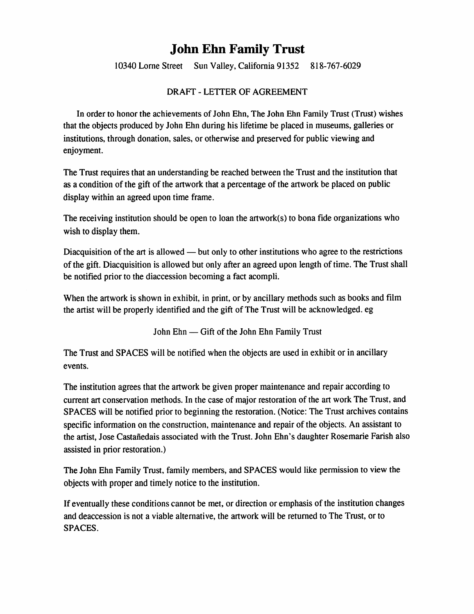## John Ehn Family Trust

10340 Lome Street Sun Valley, California 91352 818-767-6029

## DRAFT - LETTER OF AGREEMENT

In order to honor the achievements of John Ehn, The John Ehn Family Trust (Trust) wishes that the objects produced by John Ehn during his lifetime be placed in museums, galleries or institutions, through donation, sales, or otherwise and preserved for public viewing and enjoyment.

The Trust requires that an understanding be reached between the Trust and the institution that as a condition of the gift of the artwork that a percentage of the artwork be placed on public display within an agreed upon time frame.

The receiving institution should be open to loan the artwork(s) to bona fide organizations who wish to display them.

Diacquisition of the art is allowed — but only to other institutions who agree to the restrictions of the gift. Diacquisition is allowed but only after an agreed upon length of time. The Trust shall be notified prior to the diaccession becoming a fact acompli.

When the artwork is shown in exhibit, in print, or by ancillary methods such as books and film the artist will be properly identified and the gift of The Trust will be acknowledged, eg

John Ehn — Gift of the John Ehn Family Trust

The Trust and SPACES will be notified when the objects are used in exhibit or in ancillary events.

The institution agrees that the artwork be given proper maintenance and repair according to current art conservation methods. In the case of major restoration of the art work The Trust, and SPACES will be notified prior to beginning the restoration. (Notice: The Trust archives contains specific information on the construction, maintenance and repair of the objects. An assistant to the artist, Jose Castanedais associated with the Trust. John Ehn's daughter Rosemarie Farish also assisted in prior restoration.)

The John Ehn Family Trust, family members, and SPACES would like permission to view the objects with proper and timely notice to the institution.

If eventually these conditions cannot be met, or direction or emphasis of the institution changes and deaccession is not a viable alternative, the artwork will be returned to The Trust, or to SPACES.